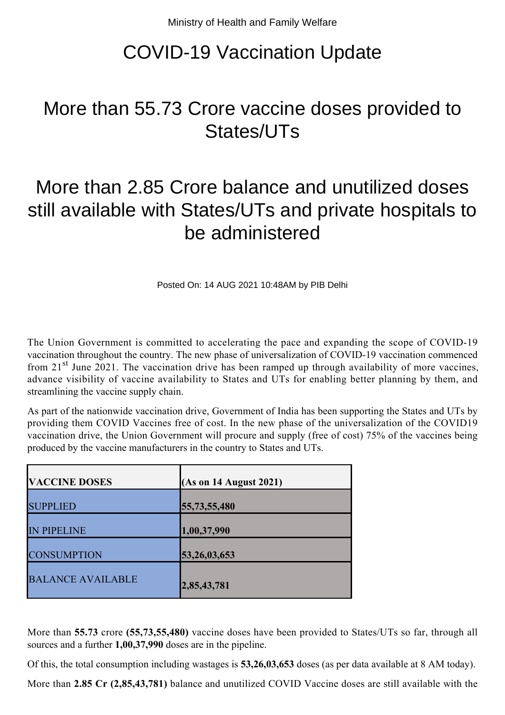## COVID-19 Vaccination Update

## More than 55.73 Crore vaccine doses provided to States/UTs

## More than 2.85 Crore balance and unutilized doses still available with States/UTs and private hospitals to be administered

Posted On: 14 AUG 2021 10:48AM by PIB Delhi

The Union Government is committed to accelerating the pace and expanding the scope of COVID-19 vaccination throughout the country. The new phase of universalization of COVID-19 vaccination commenced from  $21<sup>st</sup>$  June 2021. The vaccination drive has been ramped up through availability of more vaccines, advance visibility of vaccine availability to States and UTs for enabling better planning by them, and streamlining the vaccine supply chain.

As part of the nationwide vaccination drive, Government of India has been supporting the States and UTs by providing them COVID Vaccines free of cost. In the new phase of the universalization of the COVID19 vaccination drive, the Union Government will procure and supply (free of cost) 75% of the vaccines being produced by the vaccine manufacturers in the country to States and UTs.

| <b>VACCINE DOSES</b>     | $(As \text{ on } 14 \text{ August } 2021)$ |
|--------------------------|--------------------------------------------|
| <b>SUPPLIED</b>          | 55,73,55,480                               |
| <b>IN PIPELINE</b>       | 1,00,37,990                                |
| <b>CONSUMPTION</b>       | 53,26,03,653                               |
| <b>BALANCE AVAILABLE</b> | 2,85,43,781                                |

More than **55.73** crore **(55,73,55,480)** vaccine doses have been provided to States/UTs so far, through all sources and a further **1,00,37,990** doses are in the pipeline.

Of this, the total consumption including wastages is **53,26,03,653** doses (as per data available at 8 AM today).

More than **2.85 Cr (2,85,43,781)** balance and unutilized COVID Vaccine doses are still available with the